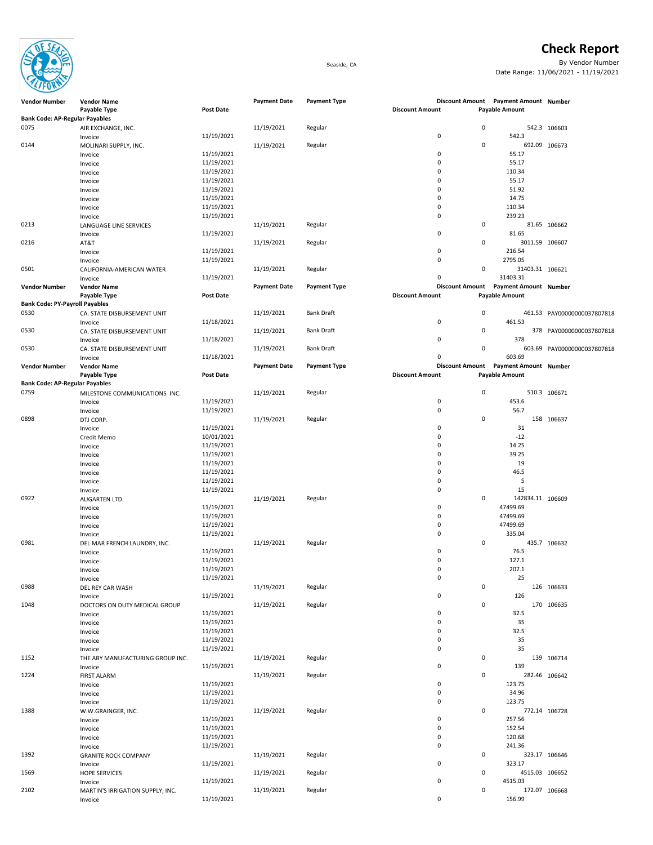

Bank Code: AP-Regular Payables

## Check Report

Seaside, CA By Vendor Number Date Range: 11/06/2021 - 11/19/2021

> 542.3 106603 692.09 106673

## 81.65 106662 3011.59 106607 31403.31 106621 Vendor Number Vendor Name and Sumber Server Amount Date Payment Date Payment Type and Discount Amount Payment Amount Number Payment Amount Number Payment Amount Number PAY00000000037807818 PAY00000000037807818 PAY00000000037807818 Vendor Number Vendor Name Number Payment Date Payment Date Payment Type Discount Amount Payment Amount Number 510.3 106671 158 106637 142834.11 106609 435.7 106632 126 106633 170 106635 139 106714 282.46 106642 772.14 106728 323.17 106646 4515.03 106652 2102 MARTIN'S IRRIGATION SUPPLY, INC. 11/19/2021 Regular 0 172.07 106668 Invoice 2006 1206.99 11/19/2021 2007 136.99 156.99 156.99 156.99 156.99 156.99 Invoice 11/19/2021 0 323.17 1569 HOPE SERVICES 11/19/2021 Regular 0 4515.03 Invoice 2006 12/19/2021 2022 12:00:00 12:00:00 12:00:00 12:00:00 13:00:00 14515.03 Invoice 2008 120.68 11/19/2021 20:00 120.68 11/19/2021 20:00 120.68 Invoice 11/19/2021 0 241.36 1392 GRANITE ROCK COMPANY 11/19/2021 Regular 11/19/2021 Regular 0 323.17<br>
11/19/2021 11/19/2021 11/19/2021 0 323.17 1388 W.W.GRAINGER, INC. 11/19/2021 Regular 11/19/2021 Regular 1388 0 772.14 Invoice 257.56 257.56 267.56 267.56 267.56 267.56 267.56 267.56 267.56 267.56 27.56 27.56 27.56 27.56 27.56 27 Invoice 2008 10/19/2021 11/19/2021 152.54 Invoice 2008 123.75 11/19/2021 20:00 123.75 11/19/2021 20:00 123.75 Invoice 2008 12/19/2021 2009 12:00:00 12:00:00 12:00:00 134.96 Invoice 2008 123.75 11/19/2021 20:00 123.75 11/19/2021 20:00 123.75 1152 THE ABY MANUFACTURING GROUP INC. 11/19/2021 Regular 0 139 Invoice 11/19/2021 0 139 1224 FIRST ALARM 11/19/2021 Regular 0 282.46 Invoice 11/19/2021 0 32.5 Invoice 11/19/2021 0 35 Invoice 11/19/2021 0 35 1048 DOCTORS ON DUTY MEDICAL GROUP 11/19/2021 Regular **Regular** 11/19/2021 **Regular** 0 170 0 32.5 Invoice 11/19/2021 0 32.5 Invoice 11/19/2021 0 35 Invoice 25 25 0988 DEL REY CAR WASH 11/19/2021 Regular 0 126 Invoice 2008 126 11/19/2021 2009 1206 1207 1208 1209 1208 1209 1209 1209 1209 120 Invoice 2008 12/19/2021 2009 12:00:00 12:00 12:00 12:00 12:00 12:00 12:00 12:00 12:00 12:00 12:00 12:00 12:00 1 Invoice 2008 127.1 2021 11/19/2021 20:00 127.1 20:00 127.1 20:00 127.1 20:00 127.1 20:00 127.1 20:00 127.1 20:0 Invoice 2007.1 207.1 207.1 207.1 207.1 207.1 207.1 207.1 207.1 207.1 207.1 207.1 207.1 207.1 207.1 207.1 207.1 Invoice 11/19/2021 0 47499.69 Invoice 2008 10/19/2021 2009 11/19/2021 2010 12:00:00 12:00:00 1335.04 0981 DEL MAR FRENCH LAUNDRY, INC. 11/19/2021 11/19/2021 Regular 11/19 and the University of the UNIT O<br>
11/19/2021 11/19/2021 11/19/2021 11/19 and the UNIT OF T6.5 0922 AUGARTEN LTD. 11/19/2021 Regular 0 142834.11 Invoice 11/19/2021 0 47499.69 Invoice 11/19/2021 0 47499.69 Invoice 2008 12/19/2021 2009 12:00:00 12:00:00 12:00:00 12:00:00 14:00 14:00 14:00 14:00 14:00 14:00 14:00 14:0 Invoice 2008 12/19/2021 2009 12:00:00 12:00:00 12:00:00 12:00:00 12:00:00 13:00:00 13:00:00 13:00:00 13:00:00 1 Invoice 2008 10/19/2021 2009 13/19/2021 2010 17:30 17:30 17:30 17:30 17:30 17:30 17:30 17:30 17:30 17:30 17:30 Invoice 2008 12/19/2021 2020 14.25 Invoice 2008 12/19/2021 2009 12:00:00 12:00:00 139.25 Invoice 2008 12/19/2021 2009 19:30 19:30 19:30 19:30 19:30 19:30 19:30 19:30 19:30 19:30 19:30 19:30 19:30 19:30 19:30 19:30 19:30 19:30 19:30 19:30 19:30 19:30 19:30 19:30 19:30 19:30 19:30 19:30 19:30 19:30 19:30 19:30 1 0898 DTJ CORP. 11/19/2021 Regular 0 158 Invoice 11/19/2021 0 31 Credit Memo 10/01/2021 0 -12 **Bank Code: AP-Regular Payables**<br>0759 MILESTONE MILESTONE COMMUNICATIONS INC. <br>11/19/2021 11/19/2021 Regular 0 53.6 Invoice 11/19/2021 0 453.6 Invoice 11/19/2021 0 56.7 Invoice 2006 11/18/2021 2007 11/18/2021 2007 11/18 11/18 12:00 12:00 12:00 12:00 12:00 12:00 13:09 1 Payable Type **Post Date** Post Date **Post Date Payable Amount** Payable Amount **Payable Amount** 0530 CA. STATE DISBURSEMENT UNIT 11/19/2021 Bank Draft 11/19 (2011 Bank Draft 11/18/2021 Bank Draft 11/18/2021 Invoice 2008 12/18/2021 2020 12:00:00 12:00:00 12:00:00 12:00:00 1378 0530 CA. STATE DISBURSEMENT UNIT 11/18/2021 Bank Draft 11/19 (11/19 Mank Draft 11/19 Mank Draft 11/18 Mank Dra<br>Invoice 11/18/2021 11/18/2021 11/18 (11/18 Mank Draft 11/19 Mank Draft 11/19 Mank Draft 11/18 Mank Draft 11/18 Payable Type **Post Date** Post Date **Provide Amount Discount Amount** Payable Amount Payable Amount Bank Code: PY-Payroll Payables 0530 CA. STATE DISBURSEMENT UNIT 11/18/2021 Bank Draft 11/19 (1991) 0 461.53<br>11/18/2021 11/18/2021 0 461.53 Invoice 2008 10/18/2021 11/18/2021 15:33 11/18/2021 15:33 17:34 17:35 17:36 17:37 17:38 17:39 17:39 17:31 17:3 0501 CALIFORNIA-AMERICAN WATER 11/19/2021 Regular 80 November 2014 Invoice 2001 11/19/2021 11/19/2021 11/19/2021 12:00 12:00 13:00 13:00 13:00 13:00 13:00 13:00 13:00 13:00 13:0 0216 AT&T 11/19/2021 Regular 0 3011.59 Invoice 2006 11/19/2021 216.54 Invoice 11/19/2021 0 2795.05 Invoice 11/19/2021 0 239.23 0213 11/19/2021 Regular 11/19/2021 Regular 11/19/2021 Regular 11/19/2021 0 81.65 Invoice 2008 11/19/2021 2009 12:00 12:00 12:00 12:00 12:00 13:00 14:00 14:00 14:00 14:00 14:00 14:00 14:00 14:0 Invoice 11/19/2021 0 51.92 Invoice 2008 10/19/2021 11/19/2021 2012 11:00:00 11:00:00 11:00:00 11:00:00 11:00:00 11:00:00 11:00 Invoice 2008 10/19/2021 10/19/2021 10:00 110.34 Invoice 11/19/2021 0 55.17

Vendor Number Vendor Name and Sumber Server Amount Date Payment Date Payment Type and Discount Amount Payment Amount Number Payment Amount Number Payment Amount Number

Invoice 2008 10/19/2021 2009 11/19/2021 2010 11:00:00 11:00:00 11:00:00 11:00:00 11:00:00 11:00:00 11:00:00 11:00:00 11:00:00 11:00:00 11:00:00 11:00:00 11:00:00 11:00:00 11:00:00 11:00:00 11:00:00 11:00:00 11:00:00 11:00: Invoice 2008 10/19/2021 10/19/2021 10:00 110.34

Invoice 2008 12/19/2021 2009 12:00:00 12:00:00 12:00:00 12:00:00 13:00:00 13:00:00 13:00:00 13:00:00 13:00:00

Invoice 2008 12/19/2021 2009 12/19/2021 2009 12:00 12:00 12:00 13:00 14:00 1542.3

Payable Type **Post Date** Post Date **Post Date** Post Discount Amount Payable Amount Payable Amount Payable Amount

0144 MOLINARI SUPPLY, INC. 11/19/2021 Regular 0 692.09

0075 AIR EXCHANGE, INC. 11/19/2021 Regular 0 542.3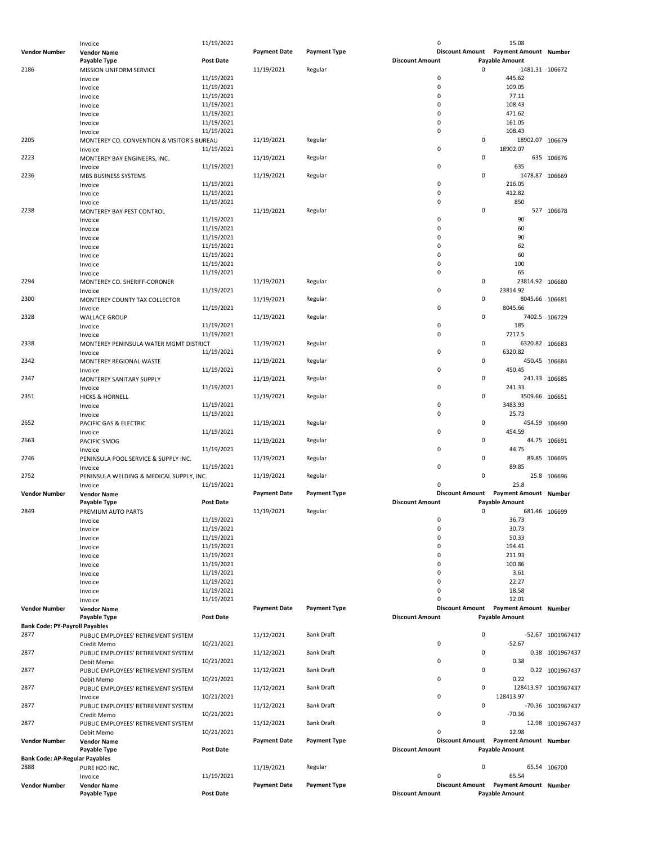|                                       | Invoice                                    | 11/19/2021       |                     |                     | 0                      | 15.08                                                          |                      |
|---------------------------------------|--------------------------------------------|------------------|---------------------|---------------------|------------------------|----------------------------------------------------------------|----------------------|
| <b>Vendor Number</b>                  | <b>Vendor Name</b>                         |                  | <b>Payment Date</b> | <b>Payment Type</b> |                        | Discount Amount  Payment Amount  Number                        |                      |
|                                       | Payable Type                               | <b>Post Date</b> |                     |                     | <b>Discount Amount</b> | <b>Payable Amount</b>                                          |                      |
| 2186                                  | <b>MISSION UNIFORM SERVICE</b>             |                  | 11/19/2021          | Regular             |                        | 0<br>1481.31 106672                                            |                      |
|                                       |                                            | 11/19/2021       |                     |                     | 0                      | 445.62                                                         |                      |
|                                       | Invoice                                    |                  |                     |                     |                        |                                                                |                      |
|                                       | Invoice                                    | 11/19/2021       |                     |                     | 0                      | 109.05                                                         |                      |
|                                       | Invoice                                    | 11/19/2021       |                     |                     | 0                      | 77.11                                                          |                      |
|                                       | Invoice                                    | 11/19/2021       |                     |                     | 0                      | 108.43                                                         |                      |
|                                       | Invoice                                    | 11/19/2021       |                     |                     | 0                      | 471.62                                                         |                      |
|                                       | Invoice                                    | 11/19/2021       |                     |                     | 0                      | 161.05                                                         |                      |
|                                       |                                            |                  |                     |                     | 0                      | 108.43                                                         |                      |
|                                       | Invoice                                    | 11/19/2021       |                     |                     |                        |                                                                |                      |
| 2205                                  | MONTEREY CO. CONVENTION & VISITOR'S BUREAU |                  | 11/19/2021          | Regular             |                        | 0<br>18902.07 106679                                           |                      |
|                                       | Invoice                                    | 11/19/2021       |                     |                     | 0                      | 18902.07                                                       |                      |
| 2223                                  | MONTEREY BAY ENGINEERS, INC.               |                  | 11/19/2021          | Regular             |                        | 0                                                              | 635 106676           |
|                                       | Invoice                                    | 11/19/2021       |                     |                     | 0                      | 635                                                            |                      |
| 2236                                  |                                            |                  | 11/19/2021          | Regular             |                        | 0<br>1478.87 106669                                            |                      |
|                                       | MBS BUSINESS SYSTEMS                       |                  |                     |                     | 0                      |                                                                |                      |
|                                       | Invoice                                    | 11/19/2021       |                     |                     |                        | 216.05                                                         |                      |
|                                       | Invoice                                    | 11/19/2021       |                     |                     | 0                      | 412.82                                                         |                      |
|                                       | Invoice                                    | 11/19/2021       |                     |                     | 0                      | 850                                                            |                      |
| 2238                                  | MONTEREY BAY PEST CONTROL                  |                  | 11/19/2021          | Regular             |                        | 0                                                              | 527 106678           |
|                                       | Invoice                                    | 11/19/2021       |                     |                     | 0                      | 90                                                             |                      |
|                                       |                                            | 11/19/2021       |                     |                     | 0                      | 60                                                             |                      |
|                                       | Invoice                                    |                  |                     |                     |                        |                                                                |                      |
|                                       | Invoice                                    | 11/19/2021       |                     |                     | 0                      | 90                                                             |                      |
|                                       | Invoice                                    | 11/19/2021       |                     |                     | 0                      | 62                                                             |                      |
|                                       | Invoice                                    | 11/19/2021       |                     |                     | 0                      | 60                                                             |                      |
|                                       | Invoice                                    | 11/19/2021       |                     |                     | 0                      | 100                                                            |                      |
|                                       |                                            | 11/19/2021       |                     |                     | 0                      | 65                                                             |                      |
|                                       | Invoice                                    |                  |                     |                     |                        |                                                                |                      |
| 2294                                  | MONTEREY CO. SHERIFF-CORONER               |                  | 11/19/2021          | Regular             |                        | 0<br>23814.92 106680                                           |                      |
|                                       | Invoice                                    | 11/19/2021       |                     |                     | 0                      | 23814.92                                                       |                      |
| 2300                                  | MONTEREY COUNTY TAX COLLECTOR              |                  | 11/19/2021          | Regular             |                        | 0<br>8045.66 106681                                            |                      |
|                                       | Invoice                                    | 11/19/2021       |                     |                     | 0                      | 8045.66                                                        |                      |
| 2328                                  | <b>WALLACE GROUP</b>                       |                  | 11/19/2021          | Regular             |                        | 0<br>7402.5 106729                                             |                      |
|                                       |                                            | 11/19/2021       |                     |                     |                        |                                                                |                      |
|                                       | Invoice                                    |                  |                     |                     | 0                      | 185                                                            |                      |
|                                       | Invoice                                    | 11/19/2021       |                     |                     | 0                      | 7217.5                                                         |                      |
| 2338                                  | MONTEREY PENINSULA WATER MGMT DISTRICT     |                  | 11/19/2021          | Regular             |                        | 0<br>6320.82 106683                                            |                      |
|                                       | Invoice                                    | 11/19/2021       |                     |                     | 0                      | 6320.82                                                        |                      |
| 2342                                  | MONTEREY REGIONAL WASTE                    |                  | 11/19/2021          | Regular             |                        | 0<br>450.45 106684                                             |                      |
|                                       |                                            |                  |                     |                     | 0                      |                                                                |                      |
|                                       | Invoice                                    | 11/19/2021       |                     |                     |                        | 450.45                                                         |                      |
| 2347                                  | MONTEREY SANITARY SUPPLY                   |                  | 11/19/2021          | Regular             |                        | 0<br>241.33 106685                                             |                      |
|                                       | Invoice                                    | 11/19/2021       |                     |                     | 0                      | 241.33                                                         |                      |
| 2351                                  | <b>HICKS &amp; HORNELL</b>                 |                  | 11/19/2021          | Regular             |                        | 0<br>3509.66 106651                                            |                      |
|                                       | Invoice                                    | 11/19/2021       |                     |                     | 0                      | 3483.93                                                        |                      |
|                                       |                                            | 11/19/2021       |                     |                     | 0                      | 25.73                                                          |                      |
|                                       | Invoice                                    |                  |                     |                     |                        |                                                                |                      |
| 2652                                  | PACIFIC GAS & ELECTRIC                     |                  | 11/19/2021          | Regular             |                        | 0<br>454.59 106690                                             |                      |
|                                       | Invoice                                    | 11/19/2021       |                     |                     | $\mathbf 0$            | 454.59                                                         |                      |
|                                       |                                            |                  |                     |                     |                        |                                                                |                      |
| 2663                                  |                                            |                  |                     | Regular             |                        | 0                                                              |                      |
|                                       | PACIFIC SMOG                               |                  | 11/19/2021          |                     |                        | 44.75 106691                                                   |                      |
|                                       | Invoice                                    | 11/19/2021       |                     |                     | $\mathbf 0$            | 44.75                                                          |                      |
| 2746                                  | PENINSULA POOL SERVICE & SUPPLY INC.       |                  | 11/19/2021          | Regular             |                        | 0                                                              | 89.85 106695         |
|                                       | Invoice                                    | 11/19/2021       |                     |                     | $\mathbf 0$            | 89.85                                                          |                      |
| 2752                                  | PENINSULA WELDING & MEDICAL SUPPLY, INC.   |                  | 11/19/2021          | Regular             |                        | 0                                                              | 25.8 106696          |
|                                       | Invoice                                    | 11/19/2021       |                     |                     | 0                      | 25.8                                                           |                      |
|                                       |                                            |                  |                     |                     |                        | <b>Payment Amount Number</b>                                   |                      |
| <b>Vendor Number</b>                  | <b>Vendor Name</b>                         |                  | <b>Payment Date</b> | <b>Payment Type</b> | <b>Discount Amount</b> |                                                                |                      |
|                                       | Payable Type                               | <b>Post Date</b> |                     |                     | <b>Discount Amount</b> | <b>Payable Amount</b>                                          |                      |
| 2849                                  | PREMIUM AUTO PARTS                         |                  | 11/19/2021          | Regular             |                        | $\mathbf 0$<br>681.46 106699                                   |                      |
|                                       | Invoice                                    | 11/19/2021       |                     |                     | 0                      | 36.73                                                          |                      |
|                                       | Invoice                                    | 11/19/2021       |                     |                     | 0                      | 30.73                                                          |                      |
|                                       | Invoice                                    | 11/19/2021       |                     |                     | 0                      | 50.33                                                          |                      |
|                                       |                                            |                  |                     |                     | 0                      |                                                                |                      |
|                                       | Invoice                                    | 11/19/2021       |                     |                     |                        | 194.41                                                         |                      |
|                                       | Invoice                                    | 11/19/2021       |                     |                     | 0                      | 211.93                                                         |                      |
|                                       | Invoice                                    | 11/19/2021       |                     |                     | 0                      | 100.86                                                         |                      |
|                                       | Invoice                                    | 11/19/2021       |                     |                     | 0                      | 3.61                                                           |                      |
|                                       | Invoice                                    | 11/19/2021       |                     |                     | 0                      | 22.27                                                          |                      |
|                                       |                                            | 11/19/2021       |                     |                     | 0                      | 18.58                                                          |                      |
|                                       | Invoice                                    |                  |                     |                     |                        |                                                                |                      |
|                                       | Invoice                                    | 11/19/2021       |                     |                     | 0                      | 12.01                                                          |                      |
| <b>Vendor Number</b>                  | <b>Vendor Name</b>                         |                  | <b>Payment Date</b> | <b>Payment Type</b> |                        | Discount Amount Payment Amount Number                          |                      |
|                                       | Payable Type                               | <b>Post Date</b> |                     |                     | <b>Discount Amount</b> | <b>Payable Amount</b>                                          |                      |
| <b>Bank Code: PY-Payroll Payables</b> |                                            |                  |                     |                     |                        |                                                                |                      |
|                                       |                                            |                  |                     | <b>Bank Draft</b>   |                        | 0                                                              |                      |
| 2877                                  | PUBLIC EMPLOYEES' RETIREMENT SYSTEM        |                  | 11/12/2021          |                     |                        |                                                                | -52.67 1001967437    |
|                                       | Credit Memo                                | 10/21/2021       |                     |                     | 0                      | $-52.67$                                                       |                      |
| 2877                                  | PUBLIC EMPLOYEES' RETIREMENT SYSTEM        |                  | 11/12/2021          | <b>Bank Draft</b>   |                        | 0                                                              | 0.38 1001967437      |
|                                       | Debit Memo                                 | 10/21/2021       |                     |                     | 0                      | 0.38                                                           |                      |
| 2877                                  | PUBLIC EMPLOYEES' RETIREMENT SYSTEM        |                  | 11/12/2021          | Bank Draft          |                        | 0                                                              | 0.22 1001967437      |
|                                       |                                            | 10/21/2021       |                     |                     | 0                      | 0.22                                                           |                      |
|                                       | Debit Memo                                 |                  |                     |                     |                        |                                                                |                      |
| 2877                                  | PUBLIC EMPLOYEES' RETIREMENT SYSTEM        |                  | 11/12/2021          | <b>Bank Draft</b>   |                        | 0                                                              | 128413.97 1001967437 |
|                                       | Invoice                                    | 10/21/2021       |                     |                     | 0                      | 128413.97                                                      |                      |
| 2877                                  | PUBLIC EMPLOYEES' RETIREMENT SYSTEM        |                  | 11/12/2021          | Bank Draft          |                        | 0                                                              | -70.36 1001967437    |
|                                       | Credit Memo                                | 10/21/2021       |                     |                     | 0                      | $-70.36$                                                       |                      |
|                                       |                                            |                  |                     |                     |                        | 0                                                              |                      |
| 2877                                  | PUBLIC EMPLOYEES' RETIREMENT SYSTEM        |                  | 11/12/2021          | Bank Draft          |                        |                                                                | 12.98 1001967437     |
|                                       | Debit Memo                                 | 10/21/2021       |                     |                     | 0                      | 12.98                                                          |                      |
| <b>Vendor Number</b>                  | <b>Vendor Name</b>                         |                  | <b>Payment Date</b> | <b>Payment Type</b> | <b>Discount Amount</b> | <b>Payment Amount Number</b>                                   |                      |
|                                       | Payable Type                               | <b>Post Date</b> |                     |                     | <b>Discount Amount</b> | <b>Payable Amount</b>                                          |                      |
| <b>Bank Code: AP-Regular Payables</b> |                                            |                  |                     |                     |                        |                                                                |                      |
| 2888                                  |                                            |                  |                     |                     |                        | 0                                                              |                      |
|                                       | PURE H20 INC.                              |                  | 11/19/2021          | Regular             |                        |                                                                | 65.54 106700         |
|                                       | Invoice                                    | 11/19/2021       |                     |                     | 0                      | 65.54                                                          |                      |
| Vendor Number                         | <b>Vendor Name</b><br>Payable Type         | <b>Post Date</b> | <b>Payment Date</b> | <b>Payment Type</b> | <b>Discount Amount</b> | Discount Amount Payment Amount Number<br><b>Payable Amount</b> |                      |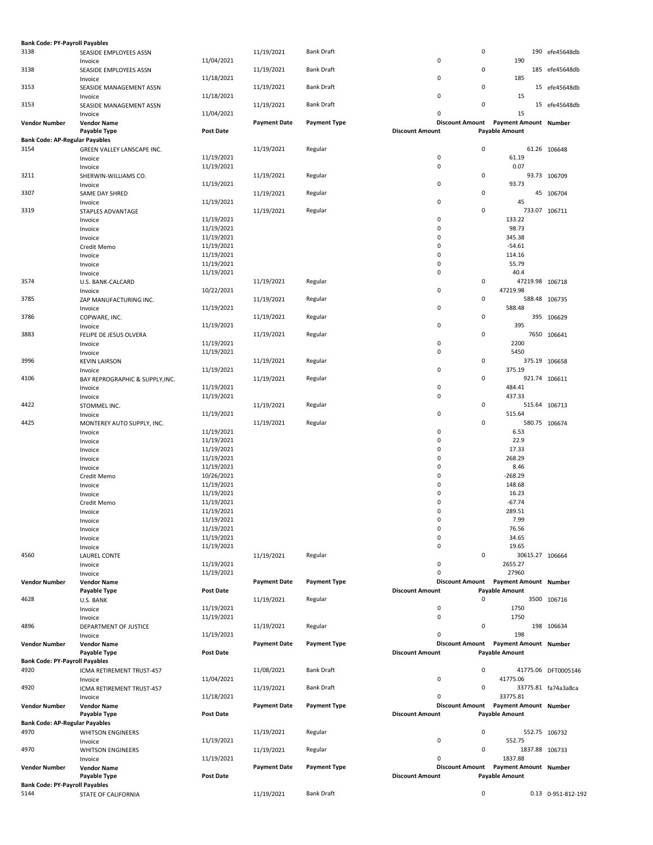| <b>Bank Code: PY-Payroll Payables</b> |                                 |                  |                     |                     |                        |                                       |                     |
|---------------------------------------|---------------------------------|------------------|---------------------|---------------------|------------------------|---------------------------------------|---------------------|
| 3138                                  | SEASIDE EMPLOYEES ASSN          |                  | 11/19/2021          | <b>Bank Draft</b>   |                        | 0                                     | 190 efe45648db      |
|                                       | Invoice                         | 11/04/2021       |                     |                     | 0                      | 190                                   |                     |
| 3138                                  | SEASIDE EMPLOYEES ASSN          |                  | 11/19/2021          | <b>Bank Draft</b>   |                        | 0                                     | 185 efe45648db      |
|                                       | Invoice                         | 11/18/2021       |                     |                     | 0                      | 185                                   |                     |
| 3153                                  |                                 |                  | 11/19/2021          | <b>Bank Draft</b>   |                        | 0                                     | 15 efe45648db       |
|                                       | SEASIDE MANAGEMENT ASSN         |                  |                     |                     | 0                      | 15                                    |                     |
|                                       | Invoice                         | 11/18/2021       |                     |                     |                        |                                       |                     |
| 3153                                  | SEASIDE MANAGEMENT ASSN         |                  | 11/19/2021          | <b>Bank Draft</b>   |                        | 0                                     | 15 efe45648db       |
|                                       | Invoice                         | 11/04/2021       |                     |                     | 0                      | 15                                    |                     |
| <b>Vendor Number</b>                  | <b>Vendor Name</b>              |                  | <b>Payment Date</b> | <b>Payment Type</b> | <b>Discount Amount</b> | Payment Amount Number                 |                     |
|                                       | Payable Type                    | <b>Post Date</b> |                     |                     | <b>Discount Amount</b> | <b>Payable Amount</b>                 |                     |
| <b>Bank Code: AP-Regular Payables</b> |                                 |                  |                     |                     |                        |                                       |                     |
| 3154                                  | GREEN VALLEY LANSCAPE INC.      |                  | 11/19/2021          | Regular             |                        | 0                                     | 61.26 106648        |
|                                       | Invoice                         | 11/19/2021       |                     |                     | $\pmb{0}$              | 61.19                                 |                     |
|                                       | Invoice                         | 11/19/2021       |                     |                     | 0                      | 0.07                                  |                     |
| 3211                                  | SHERWIN-WILLIAMS CO.            |                  | 11/19/2021          | Regular             |                        | 0                                     | 93.73 106709        |
|                                       | Invoice                         | 11/19/2021       |                     |                     | 0                      | 93.73                                 |                     |
| 3307                                  | SAME DAY SHRED                  |                  | 11/19/2021          | Regular             |                        | 0                                     | 45 106704           |
|                                       | Invoice                         | 11/19/2021       |                     |                     | 0                      | 45                                    |                     |
| 3319                                  | STAPLES ADVANTAGE               |                  | 11/19/2021          | Regular             |                        | 0                                     | 733.07 106711       |
|                                       |                                 | 11/19/2021       |                     |                     | 0                      | 133.22                                |                     |
|                                       | Invoice                         |                  |                     |                     | 0                      |                                       |                     |
|                                       | Invoice                         | 11/19/2021       |                     |                     |                        | 98.73                                 |                     |
|                                       | Invoice                         | 11/19/2021       |                     |                     | 0                      | 345.38                                |                     |
|                                       | Credit Memo                     | 11/19/2021       |                     |                     | 0                      | $-54.61$                              |                     |
|                                       | Invoice                         | 11/19/2021       |                     |                     | 0                      | 114.16                                |                     |
|                                       | Invoice                         | 11/19/2021       |                     |                     | 0                      | 55.79                                 |                     |
|                                       | Invoice                         | 11/19/2021       |                     |                     | 0                      | 40.4                                  |                     |
| 3574                                  | U.S. BANK-CALCARD               |                  | 11/19/2021          | Regular             |                        | 0<br>47219.98 106718                  |                     |
|                                       | Invoice                         | 10/22/2021       |                     |                     | 0                      | 47219.98                              |                     |
| 3785                                  | ZAP MANUFACTURING INC.          |                  | 11/19/2021          | Regular             |                        | 0                                     | 588.48 106735       |
|                                       | Invoice                         | 11/19/2021       |                     |                     | 0                      | 588.48                                |                     |
| 3786                                  | COPWARE, INC.                   |                  | 11/19/2021          | Regular             |                        | 0                                     | 395 106629          |
|                                       |                                 | 11/19/2021       |                     |                     | 0                      | 395                                   |                     |
|                                       | Invoice                         |                  |                     |                     |                        |                                       |                     |
| 3883                                  | FELIPE DE JESUS OLVERA          |                  | 11/19/2021          | Regular             |                        | 0                                     | 7650 106641         |
|                                       | Invoice                         | 11/19/2021       |                     |                     | $\pmb{0}$              | 2200                                  |                     |
|                                       | Invoice                         | 11/19/2021       |                     |                     | 0                      | 5450                                  |                     |
| 3996                                  | <b>KEVIN LAIRSON</b>            |                  | 11/19/2021          | Regular             |                        | 0                                     | 375.19 106658       |
|                                       | Invoice                         | 11/19/2021       |                     |                     | 0                      | 375.19                                |                     |
| 4106                                  | BAY REPROGRAPHIC & SUPPLY, INC. |                  | 11/19/2021          | Regular             |                        | 0                                     | 921.74 106611       |
|                                       | Invoice                         | 11/19/2021       |                     |                     | 0                      | 484.41                                |                     |
|                                       | Invoice                         | 11/19/2021       |                     |                     | 0                      | 437.33                                |                     |
| 4422                                  | STOMMEL INC.                    |                  | 11/19/2021          | Regular             |                        | 0                                     | 515.64 106713       |
|                                       | Invoice                         | 11/19/2021       |                     |                     | 0                      | 515.64                                |                     |
| 4425                                  | MONTEREY AUTO SUPPLY, INC.      |                  | 11/19/2021          | Regular             |                        | 0                                     | 580.75 106674       |
|                                       |                                 | 11/19/2021       |                     |                     | 0                      | 6.53                                  |                     |
|                                       | Invoice                         |                  |                     |                     |                        |                                       |                     |
|                                       | Invoice                         | 11/19/2021       |                     |                     | 0                      | 22.9                                  |                     |
|                                       | Invoice                         | 11/19/2021       |                     |                     | 0                      | 17.33                                 |                     |
|                                       | Invoice                         | 11/19/2021       |                     |                     | 0                      | 268.29                                |                     |
|                                       | Invoice                         | 11/19/2021       |                     |                     | 0                      | 8.46                                  |                     |
|                                       | Credit Memo                     | 10/26/2021       |                     |                     | 0                      | $-268.29$                             |                     |
|                                       | Invoice                         | 11/19/2021       |                     |                     | 0                      | 148.68                                |                     |
|                                       | Invoice                         | 11/19/2021       |                     |                     | $\mathbf 0$            | 16.23                                 |                     |
|                                       | Credit Memo                     | 11/19/2021       |                     |                     | 0                      | $-67.74$                              |                     |
|                                       | Invoice                         | 11/19/2021       |                     |                     | $\mathbf 0$            | 289.51                                |                     |
|                                       |                                 | 11/19/2021       |                     |                     | 0                      | 7.99                                  |                     |
|                                       | Invoice                         | 11/19/2021       |                     |                     | $\pmb{0}$              |                                       |                     |
|                                       | Invoice                         |                  |                     |                     |                        | 76.56                                 |                     |
|                                       | Invoice                         | 11/19/2021       |                     |                     | 0                      | 34.65                                 |                     |
|                                       | Invoice                         | 11/19/2021       |                     |                     | 0                      | 19.65                                 |                     |
| 4560                                  | <b>LAUREL CONTE</b>             |                  | 11/19/2021          | Regular             |                        | 0<br>30615.27 106664                  |                     |
|                                       | Invoice                         | 11/19/2021       |                     |                     | 0                      | 2655.27                               |                     |
|                                       | Invoice                         | 11/19/2021       |                     |                     | 0                      | 27960                                 |                     |
| <b>Vendor Number</b>                  | <b>Vendor Name</b>              |                  | <b>Payment Date</b> | <b>Payment Type</b> |                        | Discount Amount Payment Amount Number |                     |
|                                       | Payable Type                    | Post Date        |                     |                     | <b>Discount Amount</b> | <b>Payable Amount</b>                 |                     |
| 4628                                  | U.S. BANK                       |                  | 11/19/2021          | Regular             |                        | 0                                     | 3500 106716         |
|                                       | Invoice                         | 11/19/2021       |                     |                     | 0                      | 1750                                  |                     |
|                                       | Invoice                         | 11/19/2021       |                     |                     | $\mathbf 0$            | 1750                                  |                     |
| 4896                                  | DEPARTMENT OF JUSTICE           |                  | 11/19/2021          | Regular             |                        | 0                                     | 198 106634          |
|                                       |                                 | 11/19/2021       |                     |                     | 0                      | 198                                   |                     |
|                                       | Invoice                         |                  | <b>Payment Date</b> | <b>Payment Type</b> |                        | Discount Amount Payment Amount Number |                     |
| <b>Vendor Number</b>                  | <b>Vendor Name</b>              |                  |                     |                     |                        |                                       |                     |
|                                       | Payable Type                    | Post Date        |                     |                     | <b>Discount Amount</b> | <b>Payable Amount</b>                 |                     |
| <b>Bank Code: PY-Payroll Payables</b> |                                 |                  |                     |                     |                        |                                       |                     |
| 4920                                  | ICMA RETIREMENT TRUST-457       |                  | 11/08/2021          | <b>Bank Draft</b>   |                        | 0                                     | 41775.06 DFT0005146 |
|                                       | Invoice                         | 11/04/2021       |                     |                     | 0                      | 41775.06                              |                     |
| 4920                                  | ICMA RETIREMENT TRUST-457       |                  | 11/19/2021          | <b>Bank Draft</b>   |                        | 0                                     | 33775.81 fa74a3a8ca |
|                                       | Invoice                         | 11/18/2021       |                     |                     | 0                      | 33775.81                              |                     |
| <b>Vendor Number</b>                  | <b>Vendor Name</b>              |                  | <b>Payment Date</b> | <b>Payment Type</b> | <b>Discount Amount</b> | <b>Payment Amount Number</b>          |                     |
|                                       | Payable Type                    | Post Date        |                     |                     | <b>Discount Amount</b> | <b>Payable Amount</b>                 |                     |
| <b>Bank Code: AP-Regular Payables</b> |                                 |                  |                     |                     |                        |                                       |                     |
| 4970                                  | <b>WHITSON ENGINEERS</b>        |                  | 11/19/2021          | Regular             |                        | 0                                     | 552.75 106732       |
|                                       |                                 | 11/19/2021       |                     |                     | 0                      | 552.75                                |                     |
|                                       | Invoice                         |                  |                     |                     |                        |                                       |                     |
| 4970                                  | <b>WHITSON ENGINEERS</b>        |                  | 11/19/2021          | Regular             |                        | 0                                     | 1837.88 106733      |
|                                       | Invoice                         | 11/19/2021       |                     |                     | 0                      | 1837.88                               |                     |
| <b>Vendor Number</b>                  | <b>Vendor Name</b>              |                  | <b>Payment Date</b> | <b>Payment Type</b> |                        | Discount Amount Payment Amount Number |                     |
|                                       | Payable Type                    | Post Date        |                     |                     | <b>Discount Amount</b> | <b>Payable Amount</b>                 |                     |
| <b>Bank Code: PY-Payroll Payables</b> |                                 |                  |                     |                     |                        |                                       |                     |
| 5144                                  | STATE OF CALIFORNIA             |                  | 11/19/2021          | <b>Bank Draft</b>   |                        | 0                                     | 0.13 0-951-812-192  |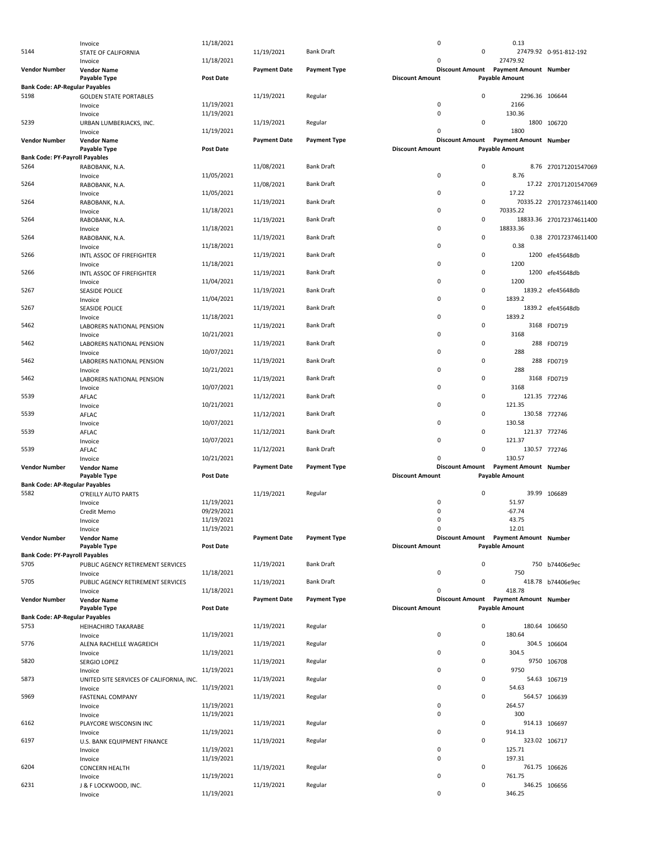|                                       | Invoice                                  | 11/18/2021       |                     |                     | 0                      |                        | 0.13                                  |                          |
|---------------------------------------|------------------------------------------|------------------|---------------------|---------------------|------------------------|------------------------|---------------------------------------|--------------------------|
| 5144                                  | STATE OF CALIFORNIA                      |                  | 11/19/2021          | <b>Bank Draft</b>   |                        | 0                      |                                       | 27479.92 0-951-812-192   |
|                                       | Invoice                                  | 11/18/2021       |                     |                     | 0                      |                        | 27479.92                              |                          |
|                                       |                                          |                  |                     |                     |                        |                        | Discount Amount Payment Amount Number |                          |
| <b>Vendor Number</b>                  | <b>Vendor Name</b>                       |                  | <b>Payment Date</b> | <b>Payment Type</b> |                        |                        |                                       |                          |
|                                       | Payable Type                             | <b>Post Date</b> |                     |                     | <b>Discount Amount</b> |                        | <b>Payable Amount</b>                 |                          |
| <b>Bank Code: AP-Regular Payables</b> |                                          |                  |                     |                     |                        |                        |                                       |                          |
| 5198                                  | <b>GOLDEN STATE PORTABLES</b>            |                  | 11/19/2021          | Regular             |                        | $\mathbf 0$            | 2296.36 106644                        |                          |
|                                       | Invoice                                  | 11/19/2021       |                     |                     | $\pmb{0}$              |                        | 2166                                  |                          |
|                                       | Invoice                                  | 11/19/2021       |                     |                     | 0                      |                        | 130.36                                |                          |
| 5239                                  |                                          |                  |                     |                     |                        | $\mathbf 0$            |                                       |                          |
|                                       | URBAN LUMBERJACKS, INC.                  |                  | 11/19/2021          | Regular             |                        |                        |                                       | 1800 106720              |
|                                       | Invoice                                  | 11/19/2021       |                     |                     | 0                      |                        | 1800                                  |                          |
| <b>Vendor Number</b>                  | <b>Vendor Name</b>                       |                  | <b>Payment Date</b> | <b>Payment Type</b> |                        | <b>Discount Amount</b> | Payment Amount Number                 |                          |
|                                       | <b>Payable Type</b>                      | <b>Post Date</b> |                     |                     | <b>Discount Amount</b> |                        | <b>Payable Amount</b>                 |                          |
|                                       |                                          |                  |                     |                     |                        |                        |                                       |                          |
| <b>Bank Code: PY-Payroll Payables</b> |                                          |                  |                     |                     |                        |                        |                                       |                          |
| 5264                                  | RABOBANK, N.A.                           |                  | 11/08/2021          | <b>Bank Draft</b>   |                        | $\mathsf 0$            |                                       | 8.76 270171201547069     |
|                                       | Invoice                                  | 11/05/2021       |                     |                     | 0                      |                        | 8.76                                  |                          |
| 5264                                  |                                          |                  | 11/08/2021          | <b>Bank Draft</b>   |                        | $\mathsf 0$            |                                       | 17.22 270171201547069    |
|                                       | RABOBANK, N.A.                           |                  |                     |                     |                        |                        |                                       |                          |
|                                       | Invoice                                  | 11/05/2021       |                     |                     | 0                      |                        | 17.22                                 |                          |
| 5264                                  | RABOBANK, N.A.                           |                  | 11/19/2021          | <b>Bank Draft</b>   |                        | $\mathsf 0$            |                                       | 70335.22 270172374611400 |
|                                       | Invoice                                  | 11/18/2021       |                     |                     | 0                      |                        | 70335.22                              |                          |
| 5264                                  |                                          |                  |                     | <b>Bank Draft</b>   |                        | $\mathsf 0$            |                                       |                          |
|                                       | RABOBANK, N.A.                           |                  | 11/19/2021          |                     |                        |                        |                                       | 18833.36 270172374611400 |
|                                       | Invoice                                  | 11/18/2021       |                     |                     | 0                      |                        | 18833.36                              |                          |
| 5264                                  | RABOBANK, N.A.                           |                  | 11/19/2021          | <b>Bank Draft</b>   |                        | $\mathsf 0$            |                                       | 0.38 270172374611400     |
|                                       | Invoice                                  | 11/18/2021       |                     |                     | 0                      |                        | 0.38                                  |                          |
|                                       |                                          |                  |                     |                     |                        | $\mathsf 0$            |                                       |                          |
| 5266                                  | INTL ASSOC OF FIREFIGHTER                |                  | 11/19/2021          | <b>Bank Draft</b>   |                        |                        |                                       | 1200 efe45648db          |
|                                       | Invoice                                  | 11/18/2021       |                     |                     | 0                      |                        | 1200                                  |                          |
| 5266                                  | INTL ASSOC OF FIREFIGHTER                |                  | 11/19/2021          | <b>Bank Draft</b>   |                        | $\mathsf 0$            |                                       | 1200 efe45648db          |
|                                       | Invoice                                  | 11/04/2021       |                     |                     | $\mathbf 0$            |                        | 1200                                  |                          |
|                                       |                                          |                  |                     |                     |                        |                        |                                       |                          |
| 5267                                  | <b>SEASIDE POLICE</b>                    |                  | 11/19/2021          | <b>Bank Draft</b>   |                        | $\mathsf 0$            |                                       | 1839.2 efe45648db        |
|                                       | Invoice                                  | 11/04/2021       |                     |                     | $\mathbf 0$            |                        | 1839.2                                |                          |
| 5267                                  | <b>SEASIDE POLICE</b>                    |                  | 11/19/2021          | Bank Draft          |                        | $\mathsf 0$            |                                       | 1839.2 efe45648db        |
|                                       |                                          |                  |                     |                     | 0                      |                        | 1839.2                                |                          |
|                                       | Invoice                                  | 11/18/2021       |                     |                     |                        |                        |                                       |                          |
| 5462                                  | LABORERS NATIONAL PENSION                |                  | 11/19/2021          | <b>Bank Draft</b>   |                        | $\mathsf 0$            |                                       | 3168 FD0719              |
|                                       | Invoice                                  | 10/21/2021       |                     |                     | 0                      |                        | 3168                                  |                          |
| 5462                                  | LABORERS NATIONAL PENSION                |                  | 11/19/2021          | <b>Bank Draft</b>   |                        | $\mathsf 0$            |                                       | 288 FD0719               |
|                                       |                                          |                  |                     |                     |                        |                        |                                       |                          |
|                                       | Invoice                                  | 10/07/2021       |                     |                     | 0                      |                        | 288                                   |                          |
| 5462                                  | LABORERS NATIONAL PENSION                |                  | 11/19/2021          | <b>Bank Draft</b>   |                        | $\mathsf 0$            |                                       | 288 FD0719               |
|                                       | Invoice                                  | 10/21/2021       |                     |                     | $\mathbf 0$            |                        | 288                                   |                          |
|                                       |                                          |                  |                     |                     |                        |                        |                                       |                          |
| 5462                                  | LABORERS NATIONAL PENSION                |                  | 11/19/2021          | <b>Bank Draft</b>   |                        | $\mathsf 0$            |                                       | 3168 FD0719              |
|                                       | Invoice                                  | 10/07/2021       |                     |                     | 0                      |                        | 3168                                  |                          |
| 5539                                  | AFLAC                                    |                  | 11/12/2021          | <b>Bank Draft</b>   |                        | 0                      |                                       | 121.35 772746            |
|                                       |                                          | 10/21/2021       |                     |                     | 0                      |                        | 121.35                                |                          |
|                                       | Invoice                                  |                  |                     |                     |                        |                        |                                       |                          |
| 5539                                  | AFLAC                                    |                  | 11/12/2021          | <b>Bank Draft</b>   |                        | 0                      |                                       | 130.58 772746            |
|                                       | Invoice                                  | 10/07/2021       |                     |                     | $\mathbf 0$            |                        | 130.58                                |                          |
| 5539                                  | AFLAC                                    |                  | 11/12/2021          | <b>Bank Draft</b>   |                        | 0                      |                                       | 121.37 772746            |
|                                       |                                          |                  |                     |                     |                        |                        |                                       |                          |
|                                       | Invoice                                  | 10/07/2021       |                     |                     | $\mathbf 0$            |                        | 121.37                                |                          |
| 5539                                  | AFLAC                                    |                  | 11/12/2021          | Bank Draft          |                        | $\mathbf 0$            |                                       | 130.57 772746            |
|                                       | Invoice                                  | 10/21/2021       |                     |                     | $\Omega$               |                        | 130.57                                |                          |
|                                       |                                          |                  |                     |                     |                        |                        |                                       |                          |
| <b>Vendor Number</b>                  | <b>Vendor Name</b>                       |                  | <b>Payment Date</b> | <b>Payment Type</b> |                        | <b>Discount Amount</b> | Payment Amount Number                 |                          |
|                                       | Payable Type                             | <b>Post Date</b> |                     |                     | <b>Discount Amount</b> |                        | <b>Payable Amount</b>                 |                          |
| <b>Bank Code: AP-Regular Payables</b> |                                          |                  |                     |                     |                        |                        |                                       |                          |
| 5582                                  |                                          |                  | 11/19/2021          | Regular             |                        | $\mathbf 0$            |                                       | 39.99 106689             |
|                                       | O'REILLY AUTO PARTS                      |                  |                     |                     |                        |                        |                                       |                          |
|                                       | Invoice                                  | 11/19/2021       |                     |                     | $\mathbf 0$            |                        | 51.97                                 |                          |
|                                       | Credit Memo                              | 09/29/2021       |                     |                     | $\pmb{0}$              |                        | $-67.74$                              |                          |
|                                       |                                          | 11/19/2021       |                     |                     | 0                      |                        | 43.75                                 |                          |
|                                       | Invoice                                  |                  |                     |                     |                        |                        |                                       |                          |
|                                       | Invoice                                  | 11/19/2021       |                     |                     | 0                      |                        | 12.01                                 |                          |
| <b>Vendor Number</b>                  | <b>Vendor Name</b>                       |                  | <b>Payment Date</b> | <b>Payment Type</b> |                        |                        | Discount Amount Payment Amount Number |                          |
|                                       | Payable Type                             | <b>Post Date</b> |                     |                     | <b>Discount Amount</b> |                        | <b>Payable Amount</b>                 |                          |
| <b>Bank Code: PY-Payroll Payables</b> |                                          |                  |                     |                     |                        |                        |                                       |                          |
|                                       |                                          |                  |                     |                     |                        |                        |                                       |                          |
| 5705                                  | PUBLIC AGENCY RETIREMENT SERVICES        |                  | 11/19/2021          | Bank Draft          |                        | $\mathsf 0$            |                                       | 750 b74406e9ec           |
|                                       | Invoice                                  | 11/18/2021       |                     |                     | 0                      |                        | 750                                   |                          |
| 5705                                  | PUBLIC AGENCY RETIREMENT SERVICES        |                  | 11/19/2021          | <b>Bank Draft</b>   |                        | 0                      |                                       | 418.78 b74406e9ec        |
|                                       |                                          | 11/18/2021       |                     |                     | 0                      |                        | 418.78                                |                          |
|                                       | Invoice                                  |                  |                     |                     |                        |                        |                                       |                          |
| <b>Vendor Number</b>                  | <b>Vendor Name</b>                       |                  | <b>Payment Date</b> | <b>Payment Type</b> |                        | <b>Discount Amount</b> | Payment Amount Number                 |                          |
|                                       | Payable Type                             | <b>Post Date</b> |                     |                     | <b>Discount Amount</b> |                        | <b>Payable Amount</b>                 |                          |
| <b>Bank Code: AP-Regular Payables</b> |                                          |                  |                     |                     |                        |                        |                                       |                          |
|                                       |                                          |                  |                     |                     |                        | $\mathsf 0$            |                                       |                          |
| 5753                                  | HEIHACHIRO TAKARABE                      |                  | 11/19/2021          | Regular             |                        |                        |                                       | 180.64 106650            |
|                                       | Invoice                                  | 11/19/2021       |                     |                     | 0                      |                        | 180.64                                |                          |
| 5776                                  | ALENA RACHELLE WAGREICH                  |                  | 11/19/2021          | Regular             |                        | 0                      |                                       | 304.5 106604             |
|                                       |                                          |                  |                     |                     | 0                      |                        | 304.5                                 |                          |
|                                       | Invoice                                  | 11/19/2021       |                     |                     |                        |                        |                                       |                          |
| 5820                                  | SERGIO LOPEZ                             |                  | 11/19/2021          | Regular             |                        | $\pmb{0}$              |                                       | 9750 106708              |
|                                       | Invoice                                  | 11/19/2021       |                     |                     | 0                      |                        | 9750                                  |                          |
| 5873                                  |                                          |                  | 11/19/2021          | Regular             |                        | 0                      |                                       | 54.63 106719             |
|                                       | UNITED SITE SERVICES OF CALIFORNIA, INC. |                  |                     |                     |                        |                        |                                       |                          |
|                                       | Invoice                                  | 11/19/2021       |                     |                     | 0                      |                        | 54.63                                 |                          |
| 5969                                  | FASTENAL COMPANY                         |                  | 11/19/2021          | Regular             |                        | $\pmb{0}$              |                                       | 564.57 106639            |
|                                       | Invoice                                  | 11/19/2021       |                     |                     | 0                      |                        | 264.57                                |                          |
|                                       |                                          |                  |                     |                     |                        |                        |                                       |                          |
|                                       | Invoice                                  | 11/19/2021       |                     |                     | 0                      |                        | 300                                   |                          |
| 6162                                  | PLAYCORE WISCONSIN INC                   |                  | 11/19/2021          | Regular             |                        | 0                      |                                       | 914.13 106697            |
|                                       | Invoice                                  | 11/19/2021       |                     |                     | 0                      |                        | 914.13                                |                          |
| 6197                                  |                                          |                  |                     |                     |                        | 0                      |                                       |                          |
|                                       | U.S. BANK EQUIPMENT FINANCE              |                  | 11/19/2021          | Regular             |                        |                        |                                       | 323.02 106717            |
|                                       | Invoice                                  | 11/19/2021       |                     |                     | 0                      |                        | 125.71                                |                          |
|                                       | Invoice                                  | 11/19/2021       |                     |                     | $\mathbf 0$            |                        | 197.31                                |                          |
| 6204                                  | <b>CONCERN HEALTH</b>                    |                  | 11/19/2021          | Regular             |                        | 0                      |                                       | 761.75 106626            |
|                                       |                                          |                  |                     |                     |                        |                        |                                       |                          |
|                                       | Invoice                                  | 11/19/2021       |                     |                     | 0                      |                        | 761.75                                |                          |
| 6231                                  | J & F LOCKWOOD, INC.                     |                  | 11/19/2021          | Regular             |                        | 0                      |                                       | 346.25 106656            |
|                                       | Invoice                                  | 11/19/2021       |                     |                     | 0                      |                        | 346.25                                |                          |
|                                       |                                          |                  |                     |                     |                        |                        |                                       |                          |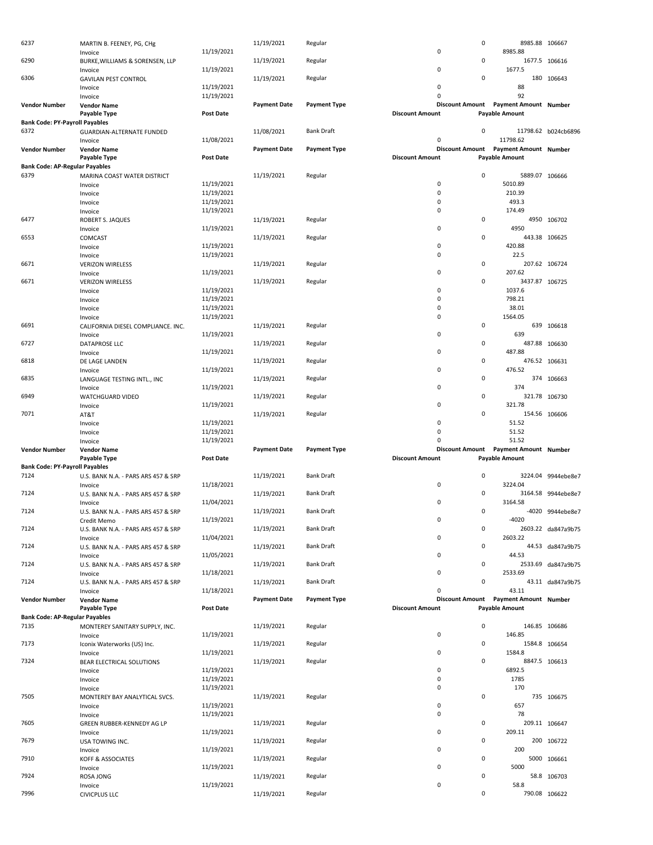| 6237                                          | MARTIN B. FEENEY, PG, CHg                      |                          | 11/19/2021          | Regular             |                        | 0                                     | 8985.88 106667           |                     |
|-----------------------------------------------|------------------------------------------------|--------------------------|---------------------|---------------------|------------------------|---------------------------------------|--------------------------|---------------------|
|                                               | Invoice                                        | 11/19/2021               |                     |                     | $\mathbf 0$            | 0                                     | 8985.88                  |                     |
| 6290                                          | BURKE, WILLIAMS & SORENSEN, LLP<br>Invoice     | 11/19/2021               | 11/19/2021          | Regular             | 0                      |                                       | 1677.5                   | 1677.5 106616       |
| 6306                                          | <b>GAVILAN PEST CONTROL</b>                    |                          | 11/19/2021          | Regular             |                        | 0                                     |                          | 180 106643          |
|                                               | Invoice                                        | 11/19/2021               |                     |                     | $\pmb{0}$              |                                       | 88                       |                     |
|                                               | Invoice                                        | 11/19/2021               |                     |                     | $\pmb{0}$              |                                       | 92                       |                     |
| <b>Vendor Number</b>                          | <b>Vendor Name</b>                             |                          | <b>Payment Date</b> | <b>Payment Type</b> | <b>Discount Amount</b> |                                       | Payment Amount Number    |                     |
| <b>Bank Code: PY-Payroll Payables</b>         | <b>Payable Type</b>                            | Post Date                |                     |                     | <b>Discount Amount</b> | <b>Payable Amount</b>                 |                          |                     |
| 6372                                          | GUARDIAN-ALTERNATE FUNDED                      |                          | 11/08/2021          | <b>Bank Draft</b>   |                        | 0                                     |                          | 11798.62 b024cb6896 |
|                                               | Invoice                                        | 11/08/2021               |                     |                     | $\mathbf 0$            |                                       | 11798.62                 |                     |
| <b>Vendor Number</b>                          | <b>Vendor Name</b>                             |                          | <b>Payment Date</b> | <b>Payment Type</b> |                        | Discount Amount Payment Amount Number |                          |                     |
|                                               | Payable Type                                   | <b>Post Date</b>         |                     |                     | <b>Discount Amount</b> | <b>Payable Amount</b>                 |                          |                     |
| <b>Bank Code: AP-Regular Payables</b><br>6379 |                                                |                          | 11/19/2021          |                     |                        | 0                                     | 5889.07 106666           |                     |
|                                               | MARINA COAST WATER DISTRICT<br>Invoice         | 11/19/2021               |                     | Regular             | $\mathbf 0$            |                                       | 5010.89                  |                     |
|                                               | Invoice                                        | 11/19/2021               |                     |                     | $\pmb{0}$              |                                       | 210.39                   |                     |
|                                               | Invoice                                        | 11/19/2021               |                     |                     | $\mathbf 0$            |                                       | 493.3                    |                     |
|                                               | Invoice                                        | 11/19/2021               |                     |                     | $\pmb{0}$              |                                       | 174.49                   |                     |
| 6477                                          | ROBERT S. JAQUES                               |                          | 11/19/2021          | Regular             | $\pmb{0}$              | 0                                     | 4950                     | 4950 106702         |
| 6553                                          | Invoice<br>COMCAST                             | 11/19/2021               | 11/19/2021          | Regular             |                        | 0                                     |                          | 443.38 106625       |
|                                               | Invoice                                        | 11/19/2021               |                     |                     | $\pmb{0}$              |                                       | 420.88                   |                     |
|                                               | Invoice                                        | 11/19/2021               |                     |                     | $\mathbf 0$            |                                       | 22.5                     |                     |
| 6671                                          | <b>VERIZON WIRELESS</b>                        |                          | 11/19/2021          | Regular             |                        | 0                                     |                          | 207.62 106724       |
|                                               | Invoice                                        | 11/19/2021               |                     |                     | $\mathbf 0$            |                                       | 207.62                   |                     |
| 6671                                          | <b>VERIZON WIRELESS</b>                        | 11/19/2021               | 11/19/2021          | Regular             | $\pmb{0}$              | 0                                     | 3437.87 106725<br>1037.6 |                     |
|                                               | Invoice<br>Invoice                             | 11/19/2021               |                     |                     | $\pmb{0}$              |                                       | 798.21                   |                     |
|                                               | Invoice                                        | 11/19/2021               |                     |                     | $\mathbf 0$            |                                       | 38.01                    |                     |
|                                               | Invoice                                        | 11/19/2021               |                     |                     | $\pmb{0}$              |                                       | 1564.05                  |                     |
| 6691                                          | CALIFORNIA DIESEL COMPLIANCE. INC.             |                          | 11/19/2021          | Regular             |                        | 0                                     |                          | 639 106618          |
|                                               | Invoice                                        | 11/19/2021               |                     |                     | $\pmb{0}$              |                                       | 639                      |                     |
| 6727                                          | DATAPROSE LLC<br>Invoice                       | 11/19/2021               | 11/19/2021          | Regular             | 0                      | 0                                     | 487.88                   | 487.88 106630       |
| 6818                                          | DE LAGE LANDEN                                 |                          | 11/19/2021          | Regular             |                        | 0                                     |                          | 476.52 106631       |
| 6835                                          | Invoice<br>LANGUAGE TESTING INTL., INC         | 11/19/2021               | 11/19/2021          | Regular             | $\mathbf 0$            | 0                                     | 476.52                   | 374 106663          |
|                                               | Invoice                                        | 11/19/2021               |                     |                     | $\mathbf 0$            |                                       | 374                      |                     |
| 6949                                          | WATCHGUARD VIDEO                               |                          | 11/19/2021          | Regular             |                        | 0                                     |                          | 321.78 106730       |
|                                               | Invoice                                        | 11/19/2021               |                     |                     | $\mathbf 0$            |                                       | 321.78                   |                     |
| 7071                                          | AT&T                                           |                          | 11/19/2021          | Regular             | $\mathbf 0$            | 0                                     | 51.52                    | 154.56 106606       |
|                                               | Invoice<br>Invoice                             | 11/19/2021<br>11/19/2021 |                     |                     | $\pmb{0}$              |                                       | 51.52                    |                     |
|                                               | Invoice                                        | 11/19/2021               |                     |                     | $\mathbf 0$            |                                       | 51.52                    |                     |
| <b>Vendor Number</b>                          | <b>Vendor Name</b>                             |                          | <b>Payment Date</b> | <b>Payment Type</b> | <b>Discount Amount</b> |                                       | Payment Amount Number    |                     |
|                                               | Payable Type                                   | Post Date                |                     |                     | <b>Discount Amount</b> | <b>Payable Amount</b>                 |                          |                     |
|                                               |                                                |                          |                     |                     |                        |                                       |                          |                     |
| <b>Bank Code: PY-Payroll Payables</b>         |                                                |                          |                     |                     |                        |                                       |                          |                     |
| 7124                                          | U.S. BANK N.A. - PARS ARS 457 & SRP            |                          | 11/19/2021          | <b>Bank Draft</b>   |                        | 0                                     |                          | 3224.04 9944ebe8e7  |
| 7124                                          | Invoice                                        | 11/18/2021               |                     | <b>Bank Draft</b>   | $\mathbf 0$            | 0                                     | 3224.04                  |                     |
|                                               | U.S. BANK N.A. - PARS ARS 457 & SRP<br>Invoice | 11/04/2021               | 11/19/2021          |                     | 0                      |                                       | 3164.58                  | 3164.58 9944ebe8e7  |
| 7124                                          | U.S. BANK N.A. - PARS ARS 457 & SRP            |                          | 11/19/2021          | <b>Bank Draft</b>   |                        | 0                                     |                          | -4020 9944ebe8e7    |
|                                               | Credit Memo                                    | 11/19/2021               |                     |                     | 0                      |                                       | -4020                    |                     |
| 7124                                          | U.S. BANK N.A. - PARS ARS 457 & SRP            |                          | 11/19/2021          | <b>Bank Draft</b>   |                        | 0                                     |                          | 2603.22 da847a9b75  |
|                                               | Invoice                                        | 11/04/2021               |                     |                     | 0                      |                                       | 2603.22                  |                     |
| 7124                                          | U.S. BANK N.A. - PARS ARS 457 & SRP            | 11/05/2021               | 11/19/2021          | <b>Bank Draft</b>   | 0                      | 0                                     | 44.53                    | 44.53 da847a9b75    |
| 7124                                          | Invoice<br>U.S. BANK N.A. - PARS ARS 457 & SRP |                          | 11/19/2021          | <b>Bank Draft</b>   |                        | 0                                     |                          | 2533.69 da847a9b75  |
|                                               | Invoice                                        | 11/18/2021               |                     |                     | 0                      |                                       | 2533.69                  |                     |
| 7124                                          | U.S. BANK N.A. - PARS ARS 457 & SRP            |                          | 11/19/2021          | <b>Bank Draft</b>   |                        | 0                                     |                          | 43.11 da847a9b75    |
|                                               | Invoice                                        | 11/18/2021               |                     |                     | $\mathbf 0$            |                                       | 43.11                    |                     |
| <b>Vendor Number</b>                          | <b>Vendor Name</b>                             | Post Date                | <b>Payment Date</b> | <b>Payment Type</b> | <b>Discount Amount</b> | Discount Amount Payment Amount Number |                          |                     |
| <b>Bank Code: AP-Regular Payables</b>         | Payable Type                                   |                          |                     |                     |                        | <b>Payable Amount</b>                 |                          |                     |
| 7135                                          | MONTEREY SANITARY SUPPLY, INC.                 |                          | 11/19/2021          | Regular             |                        | 0                                     |                          | 146.85 106686       |
|                                               | Invoice                                        | 11/19/2021               |                     |                     | $\mathsf 0$            |                                       | 146.85                   |                     |
| 7173                                          | Iconix Waterworks (US) Inc.                    |                          | 11/19/2021          | Regular             |                        | 0                                     |                          | 1584.8 106654       |
|                                               | Invoice                                        | 11/19/2021               |                     |                     | 0                      |                                       | 1584.8                   |                     |
| 7324                                          | BEAR ELECTRICAL SOLUTIONS                      | 11/19/2021               | 11/19/2021          | Regular             | $\mathsf 0$            | 0                                     | 6892.5                   | 8847.5 106613       |
|                                               | Invoice<br>Invoice                             | 11/19/2021               |                     |                     | 0                      |                                       | 1785                     |                     |
|                                               | Invoice                                        | 11/19/2021               |                     |                     | $\pmb{0}$              |                                       | 170                      |                     |
| 7505                                          | MONTEREY BAY ANALYTICAL SVCS.                  |                          | 11/19/2021          | Regular             |                        | 0                                     |                          | 735 106675          |
|                                               | Invoice                                        | 11/19/2021               |                     |                     | $\pmb{0}$              |                                       | 657                      |                     |
| 7605                                          | Invoice                                        | 11/19/2021               | 11/19/2021          | Regular             | 0                      | 0                                     | 78                       | 209.11 106647       |
|                                               | GREEN RUBBER-KENNEDY AG LP<br>Invoice          | 11/19/2021               |                     |                     | 0                      |                                       | 209.11                   |                     |
| 7679                                          | USA TOWING INC.                                |                          | 11/19/2021          | Regular             |                        | 0                                     |                          | 200 106722          |
|                                               | Invoice                                        | 11/19/2021               |                     |                     | 0                      |                                       | 200                      |                     |
| 7910                                          | KOFF & ASSOCIATES                              | 11/19/2021               | 11/19/2021          | Regular             | $\mathbf 0$            | 0                                     | 5000                     | 5000 106661         |
| 7924                                          | Invoice<br>ROSA JONG                           |                          | 11/19/2021          | Regular             |                        | 0                                     |                          | 58.8 106703         |
| 7996                                          | Invoice<br><b>CIVICPLUS LLC</b>                | 11/19/2021               | 11/19/2021          | Regular             | 0                      | 0                                     | 58.8                     | 790.08 106622       |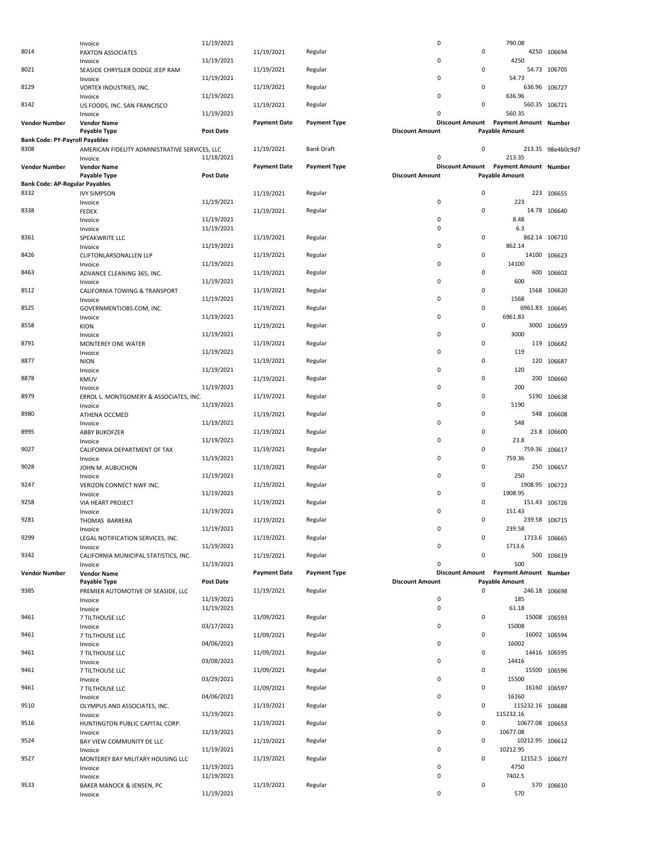|                                       | Invoice                                        | 11/19/2021       |                     |                     | 0                      |             | 790.08                                |                   |
|---------------------------------------|------------------------------------------------|------------------|---------------------|---------------------|------------------------|-------------|---------------------------------------|-------------------|
| 8014                                  | PAXTON ASSOCIATES                              |                  | 11/19/2021          | Regular             |                        | 0           |                                       | 4250 106694       |
|                                       | Invoice                                        | 11/19/2021       |                     |                     | 0                      |             | 4250                                  |                   |
| 8021                                  | SEASIDE CHRYSLER DODGE JEEP RAM                |                  | 11/19/2021          | Regular             |                        | 0           |                                       | 54.73 106705      |
|                                       | Invoice                                        | 11/19/2021       |                     |                     | 0                      |             | 54.73                                 |                   |
| 8129                                  | VORTEX INDUSTRIES, INC.                        |                  | 11/19/2021          | Regular             |                        | 0           | 636.96 106727                         |                   |
|                                       | Invoice                                        | 11/19/2021       |                     |                     | 0                      |             | 636.96                                |                   |
| 8142                                  | US FOODS, INC. SAN FRANCISCO                   |                  | 11/19/2021          | Regular             |                        | 0           | 560.35 106721                         |                   |
|                                       | Invoice                                        | 11/19/2021       |                     |                     | 0                      |             | 560.35                                |                   |
| Vendor Number                         | <b>Vendor Name</b>                             |                  | <b>Payment Date</b> | <b>Payment Type</b> |                        |             | Discount Amount Payment Amount Number |                   |
|                                       | Payable Type                                   | Post Date        |                     |                     | <b>Discount Amount</b> |             | <b>Payable Amount</b>                 |                   |
| <b>Bank Code: PY-Payroll Payables</b> |                                                |                  |                     |                     |                        |             |                                       |                   |
| 8308                                  | AMERICAN FIDELITY ADMINISTRATIVE SERVICES, LLC |                  | 11/19/2021          | <b>Bank Draft</b>   |                        | 0           |                                       | 213.35 98e4b0c9d7 |
|                                       | Invoice                                        | 11/18/2021       |                     |                     | 0                      |             | 213.35                                |                   |
| <b>Vendor Number</b>                  | <b>Vendor Name</b>                             |                  | <b>Payment Date</b> | <b>Payment Type</b> |                        |             | Discount Amount Payment Amount Number |                   |
|                                       | Payable Type                                   | Post Date        |                     |                     | <b>Discount Amount</b> |             | <b>Payable Amount</b>                 |                   |
| <b>Bank Code: AP-Regular Payables</b> |                                                |                  |                     |                     |                        |             |                                       |                   |
| 8332                                  |                                                |                  |                     |                     |                        | 0           |                                       | 223 106655        |
|                                       | <b>IVY SIMPSON</b>                             | 11/19/2021       | 11/19/2021          | Regular             | 0                      |             | 223                                   |                   |
| 8338                                  | Invoice                                        |                  |                     |                     |                        | 0           |                                       | 14.78 106640      |
|                                       | <b>FEDEX</b>                                   | 11/19/2021       | 11/19/2021          | Regular             | 0                      |             | 8.48                                  |                   |
|                                       | Invoice                                        |                  |                     |                     | 0                      |             |                                       |                   |
|                                       | Invoice                                        | 11/19/2021       |                     |                     |                        |             | 6.3                                   |                   |
| 8361                                  | SPEAKWRITE LLC                                 |                  | 11/19/2021          | Regular             | 0                      | 0           | 862.14 106710                         |                   |
|                                       | Invoice                                        | 11/19/2021       |                     |                     |                        |             | 862.14                                |                   |
| 8426                                  | CLIFTONLARSONALLEN LLP                         |                  | 11/19/2021          | Regular             |                        | 0           |                                       | 14100 106623      |
|                                       | Invoice                                        | 11/19/2021       |                     |                     | 0                      |             | 14100                                 |                   |
| 8463                                  | ADVANCE CLEANING 365, INC.                     |                  | 11/19/2021          | Regular             |                        | 0           |                                       | 600 106602        |
|                                       | Invoice                                        | 11/19/2021       |                     |                     | 0                      |             | 600                                   |                   |
| 8512                                  | CALIFORNIA TOWING & TRANSPORT                  |                  | 11/19/2021          | Regular             |                        | 0           |                                       | 1568 106620       |
|                                       | Invoice                                        | 11/19/2021       |                     |                     | 0                      |             | 1568                                  |                   |
| 8525                                  | GOVERNMENTJOBS.COM, INC.                       |                  | 11/19/2021          | Regular             |                        | 0           | 6961.83 106645                        |                   |
|                                       | Invoice                                        | 11/19/2021       |                     |                     | 0                      |             | 6961.83                               |                   |
| 8558                                  | <b>KION</b>                                    |                  | 11/19/2021          | Regular             |                        | 0           |                                       | 3000 106659       |
|                                       | Invoice                                        | 11/19/2021       |                     |                     | 0                      |             | 3000                                  |                   |
| 8791                                  | MONTEREY ONE WATER                             |                  | 11/19/2021          | Regular             |                        | 0           |                                       | 119 106682        |
|                                       | Invoice                                        | 11/19/2021       |                     |                     | 0                      |             | 119                                   |                   |
| 8877                                  | <b>NION</b>                                    |                  | 11/19/2021          | Regular             |                        | 0           |                                       | 120 106687        |
|                                       | Invoice                                        | 11/19/2021       |                     |                     | 0                      |             | 120                                   |                   |
| 8878                                  | KMUV                                           |                  | 11/19/2021          | Regular             |                        | 0           |                                       | 200 106660        |
|                                       | Invoice                                        | 11/19/2021       |                     |                     | 0                      |             | 200                                   |                   |
| 8979                                  | ERROL L. MONTGOMERY & ASSOCIATES, INC.         |                  | 11/19/2021          | Regular             |                        | 0           |                                       | 5190 106638       |
|                                       | Invoice                                        | 11/19/2021       |                     |                     | 0                      |             | 5190                                  |                   |
| 8980                                  | ATHENA OCCMED                                  |                  | 11/19/2021          | Regular             |                        | 0           |                                       | 548 106608        |
|                                       | Invoice                                        | 11/19/2021       |                     |                     | 0                      |             | 548                                   |                   |
| 8995                                  | ABBY BUKOFZER                                  |                  | 11/19/2021          | Regular             |                        | 0           |                                       | 23.8 106600       |
|                                       | Invoice                                        | 11/19/2021       |                     |                     | 0                      |             | 23.8                                  |                   |
| 9027                                  | CALIFORNIA DEPARTMENT OF TAX                   |                  | 11/19/2021          | Regular             |                        | $\mathsf 0$ | 759.36 106617                         |                   |
|                                       | Invoice                                        | 11/19/2021       |                     |                     | 0                      |             | 759.36                                |                   |
| 9028                                  | JOHN M. AUBUCHON                               |                  | 11/19/2021          | Regular             |                        | 0           |                                       | 250 106657        |
|                                       | Invoice                                        | 11/19/2021       |                     |                     | 0                      |             | 250                                   |                   |
| 9247                                  | VERIZON CONNECT NWF INC.                       |                  | 11/19/2021          | Regular             |                        | 0           | 1908.95 106723                        |                   |
|                                       | Invoice                                        | 11/19/2021       |                     |                     | 0                      |             | 1908.95                               |                   |
| 9258                                  | VIA HEART PROJECT                              |                  | 11/19/2021          | Regular             |                        | 0           | 151.43 106726                         |                   |
|                                       | Invoice                                        | 11/19/2021       |                     |                     | 0                      |             | 151.43                                |                   |
| 9281                                  | THOMAS BARRERA                                 |                  | 11/19/2021          | Regular             |                        | 0           | 239.58 106715                         |                   |
|                                       | Invoice                                        | 11/19/2021       |                     |                     | 0                      |             | 239.58                                |                   |
| 9299                                  | LEGAL NOTIFICATION SERVICES, INC.              |                  | 11/19/2021          | Regular             |                        | 0           | 1713.6 106665                         |                   |
|                                       | Invoice                                        | 11/19/2021       |                     |                     | 0                      |             | 1713.6                                |                   |
| 9342                                  | CALIFORNIA MUNICIPAL STATISTICS, INC.          |                  | 11/19/2021          | Regular             |                        | 0           |                                       | 500 106619        |
|                                       | Invoice                                        | 11/19/2021       |                     |                     | 0                      |             | 500                                   |                   |
| <b>Vendor Number</b>                  | <b>Vendor Name</b>                             |                  | <b>Payment Date</b> | <b>Payment Type</b> |                        |             | Discount Amount Payment Amount Number |                   |
|                                       | Payable Type                                   | <b>Post Date</b> |                     |                     | <b>Discount Amount</b> |             | <b>Payable Amount</b>                 |                   |
| 9385                                  | PREMIER AUTOMOTIVE OF SEASIDE, LLC             |                  | 11/19/2021          | Regular             |                        | $\mathbf 0$ | 246.18 106698                         |                   |
|                                       | Invoice                                        | 11/19/2021       |                     |                     | $\mathbf 0$            |             | 185                                   |                   |
|                                       | Invoice                                        | 11/19/2021       |                     |                     | 0                      |             | 61.18                                 |                   |
| 9461                                  | 7 TILTHOUSE LLC                                |                  | 11/09/2021          | Regular             |                        | 0           |                                       | 15008 106593      |
|                                       | Invoice                                        | 03/17/2021       |                     |                     | 0                      |             | 15008                                 |                   |
| 9461                                  |                                                |                  | 11/09/2021          | Regular             |                        | 0           |                                       | 16002 106594      |
|                                       | 7 TILTHOUSE LLC                                | 04/06/2021       |                     |                     | 0                      |             | 16002                                 |                   |
| 9461                                  | Invoice                                        |                  | 11/09/2021          |                     |                        | 0           |                                       | 14416 106595      |
|                                       | 7 TILTHOUSE LLC                                | 03/08/2021       |                     | Regular             | 0                      |             | 14416                                 |                   |
| 9461                                  | Invoice                                        |                  |                     |                     |                        | 0           |                                       | 15500 106596      |
|                                       | 7 TILTHOUSE LLC                                |                  | 11/09/2021          | Regular             | 0                      |             | 15500                                 |                   |
|                                       | Invoice                                        | 03/29/2021       |                     |                     |                        |             |                                       |                   |
| 9461                                  | 7 TILTHOUSE LLC                                |                  | 11/09/2021          | Regular             |                        | 0           |                                       | 16160 106597      |
|                                       | Invoice                                        | 04/06/2021       |                     |                     | 0                      |             | 16160                                 |                   |
| 9510                                  | OLYMPUS AND ASSOCIATES, INC.                   |                  | 11/19/2021          | Regular             |                        | 0           | 115232.16 106688                      |                   |
|                                       | Invoice                                        | 11/19/2021       |                     |                     | 0                      |             | 115232.16                             |                   |
| 9516                                  | HUNTINGTON PUBLIC CAPITAL CORP.                |                  | 11/19/2021          | Regular             |                        | 0           | 10677.08 106653                       |                   |
|                                       | Invoice                                        | 11/19/2021       |                     |                     | 0                      |             | 10677.08                              |                   |
| 9524                                  | BAY VIEW COMMUNITY DE LLC                      |                  | 11/19/2021          | Regular             |                        | 0           | 10212.95 106612                       |                   |
|                                       | Invoice                                        | 11/19/2021       |                     |                     | 0                      |             | 10212.95                              |                   |
| 9527                                  | MONTEREY BAY MILITARY HOUSING LLC              |                  | 11/19/2021          | Regular             |                        | 0           | 12152.5 106677                        |                   |
|                                       | Invoice                                        | 11/19/2021       |                     |                     | 0                      |             | 4750                                  |                   |
|                                       | Invoice                                        | 11/19/2021       |                     |                     | 0                      |             | 7402.5                                |                   |
| 9533                                  | BAKER MANOCK & JENSEN, PC                      |                  | 11/19/2021          | Regular             |                        | 0           |                                       | 570 106610        |
|                                       | Invoice                                        | 11/19/2021       |                     |                     | 0                      |             | 570                                   |                   |